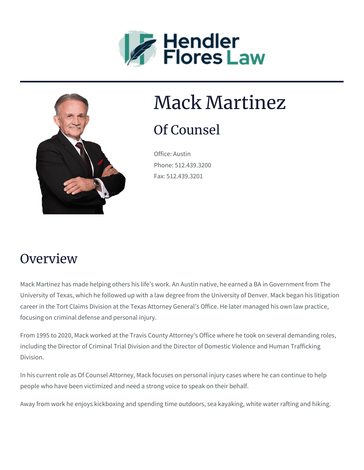



# Mack Martinez

## Of Counsel

Office: Austin Phone: 512.439.3200 Fax: 512.439.3201

#### **Overview**

Mack Martinez has made helping others his life's work. An Austin native, he earned a BA in Government from The University of Texas, which he followed up with a law degree from the University of Denver. Mack began his litigation career in the Tort Claims Division at the Texas Attorney General's Office. He later managed his own law practice, focusing on criminal defense and personal injury.

From 1995 to 2020, Mack worked at the Travis County Attorney's Office where he took on several demanding roles, including the Director of Criminal Trial Division and the Director of Domestic Violence and Human Trafficking Division.

In his current role as Of Counsel Attorney, Mack focuses on personal injury cases where he can continue to help people who have been victimized and need a strong voice to speak on their behalf.

Away from work he enjoys kickboxing and spending time outdoors, sea kayaking, white water rafting and hiking.